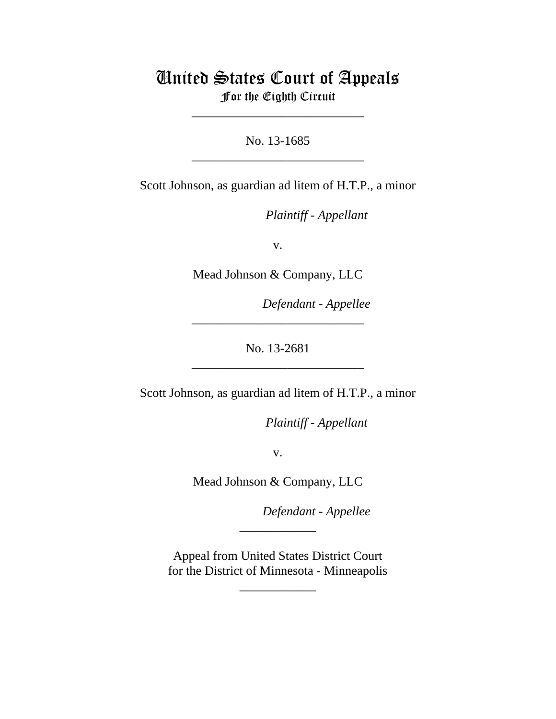## United States Court of Appeals For the Eighth Circuit

\_\_\_\_\_\_\_\_\_\_\_\_\_\_\_\_\_\_\_\_\_\_\_\_\_\_\_

No. 13-1685 \_\_\_\_\_\_\_\_\_\_\_\_\_\_\_\_\_\_\_\_\_\_\_\_\_\_\_

Scott Johnson, as guardian ad litem of H.T.P., a minor

lllllllllllllllllllll *Plaintiff - Appellant*

v.

Mead Johnson & Company, LLC

 $Defendant$  - Appellee

No. 13-2681 \_\_\_\_\_\_\_\_\_\_\_\_\_\_\_\_\_\_\_\_\_\_\_\_\_\_\_

\_\_\_\_\_\_\_\_\_\_\_\_\_\_\_\_\_\_\_\_\_\_\_\_\_\_\_

Scott Johnson, as guardian ad litem of H.T.P., a minor

*Plaintiff - Appellant* 

v.

Mead Johnson & Company, LLC

Defendant - Appellee

 Appeal from United States District Court for the District of Minnesota - Minneapolis

\_\_\_\_\_\_\_\_\_\_\_\_

\_\_\_\_\_\_\_\_\_\_\_\_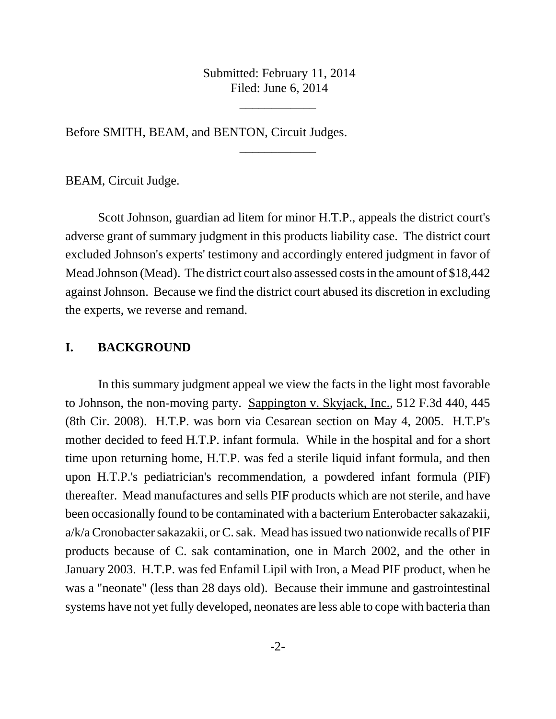Submitted: February 11, 2014 Filed: June 6, 2014

\_\_\_\_\_\_\_\_\_\_\_\_

\_\_\_\_\_\_\_\_\_\_\_\_

Before SMITH, BEAM, and BENTON, Circuit Judges.

BEAM, Circuit Judge.

Scott Johnson, guardian ad litem for minor H.T.P., appeals the district court's adverse grant of summary judgment in this products liability case. The district court excluded Johnson's experts' testimony and accordingly entered judgment in favor of Mead Johnson (Mead). The district court also assessed costs in the amount of \$18,442 against Johnson. Because we find the district court abused its discretion in excluding the experts, we reverse and remand.

## **I. BACKGROUND**

In this summary judgment appeal we view the facts in the light most favorable to Johnson, the non-moving party. Sappington v. Skyjack, Inc., 512 F.3d 440, 445 (8th Cir. 2008). H.T.P. was born via Cesarean section on May 4, 2005. H.T.P's mother decided to feed H.T.P. infant formula. While in the hospital and for a short time upon returning home, H.T.P. was fed a sterile liquid infant formula, and then upon H.T.P.'s pediatrician's recommendation, a powdered infant formula (PIF) thereafter. Mead manufactures and sells PIF products which are not sterile, and have been occasionally found to be contaminated with a bacterium Enterobacter sakazakii, a/k/a Cronobacter sakazakii, or C. sak. Mead has issued two nationwide recalls of PIF products because of C. sak contamination, one in March 2002, and the other in January 2003. H.T.P. was fed Enfamil Lipil with Iron, a Mead PIF product, when he was a "neonate" (less than 28 days old). Because their immune and gastrointestinal systems have not yet fully developed, neonates are less able to cope with bacteria than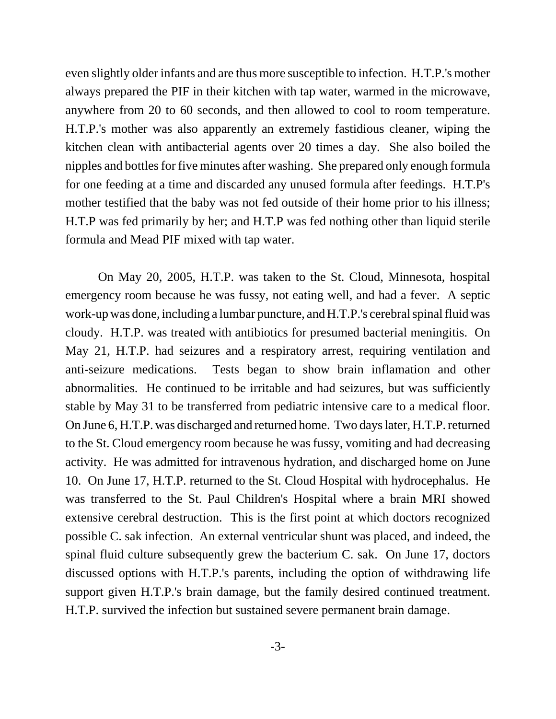even slightly older infants and are thus more susceptible to infection. H.T.P.'s mother always prepared the PIF in their kitchen with tap water, warmed in the microwave, anywhere from 20 to 60 seconds, and then allowed to cool to room temperature. H.T.P.'s mother was also apparently an extremely fastidious cleaner, wiping the kitchen clean with antibacterial agents over 20 times a day. She also boiled the nipples and bottles for five minutes after washing. She prepared only enough formula for one feeding at a time and discarded any unused formula after feedings. H.T.P's mother testified that the baby was not fed outside of their home prior to his illness; H.T.P was fed primarily by her; and H.T.P was fed nothing other than liquid sterile formula and Mead PIF mixed with tap water.

On May 20, 2005, H.T.P. was taken to the St. Cloud, Minnesota, hospital emergency room because he was fussy, not eating well, and had a fever. A septic work-up was done, including a lumbar puncture, and H.T.P.'s cerebral spinal fluid was cloudy. H.T.P. was treated with antibiotics for presumed bacterial meningitis. On May 21, H.T.P. had seizures and a respiratory arrest, requiring ventilation and anti-seizure medications. Tests began to show brain inflamation and other abnormalities. He continued to be irritable and had seizures, but was sufficiently stable by May 31 to be transferred from pediatric intensive care to a medical floor. On June 6, H.T.P. was discharged and returned home. Two days later, H.T.P. returned to the St. Cloud emergency room because he was fussy, vomiting and had decreasing activity. He was admitted for intravenous hydration, and discharged home on June 10. On June 17, H.T.P. returned to the St. Cloud Hospital with hydrocephalus. He was transferred to the St. Paul Children's Hospital where a brain MRI showed extensive cerebral destruction. This is the first point at which doctors recognized possible C. sak infection. An external ventricular shunt was placed, and indeed, the spinal fluid culture subsequently grew the bacterium C. sak. On June 17, doctors discussed options with H.T.P.'s parents, including the option of withdrawing life support given H.T.P.'s brain damage, but the family desired continued treatment. H.T.P. survived the infection but sustained severe permanent brain damage.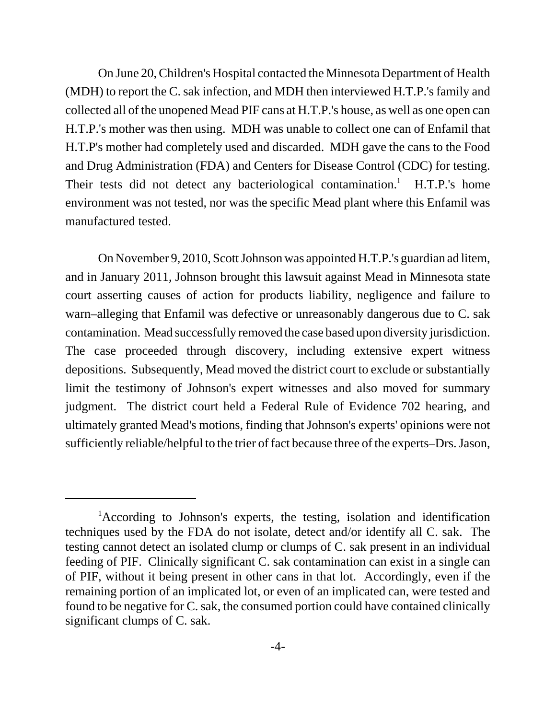On June 20, Children's Hospital contacted the Minnesota Department of Health (MDH) to report the C. sak infection, and MDH then interviewed H.T.P.'s family and collected all of the unopened Mead PIF cans at H.T.P.'s house, as well as one open can H.T.P.'s mother was then using. MDH was unable to collect one can of Enfamil that H.T.P's mother had completely used and discarded. MDH gave the cans to the Food and Drug Administration (FDA) and Centers for Disease Control (CDC) for testing. Their tests did not detect any bacteriological contamination.<sup>1</sup> H.T.P.'s home environment was not tested, nor was the specific Mead plant where this Enfamil was manufactured tested.

On November 9, 2010, Scott Johnson was appointed H.T.P.'s guardian ad litem, and in January 2011, Johnson brought this lawsuit against Mead in Minnesota state court asserting causes of action for products liability, negligence and failure to warn–alleging that Enfamil was defective or unreasonably dangerous due to C. sak contamination. Mead successfully removed the case based upon diversity jurisdiction. The case proceeded through discovery, including extensive expert witness depositions. Subsequently, Mead moved the district court to exclude or substantially limit the testimony of Johnson's expert witnesses and also moved for summary judgment. The district court held a Federal Rule of Evidence 702 hearing, and ultimately granted Mead's motions, finding that Johnson's experts' opinions were not sufficiently reliable/helpful to the trier of fact because three of the experts–Drs. Jason,

<sup>&</sup>lt;sup>1</sup>According to Johnson's experts, the testing, isolation and identification techniques used by the FDA do not isolate, detect and/or identify all C. sak. The testing cannot detect an isolated clump or clumps of C. sak present in an individual feeding of PIF. Clinically significant C. sak contamination can exist in a single can of PIF, without it being present in other cans in that lot. Accordingly, even if the remaining portion of an implicated lot, or even of an implicated can, were tested and found to be negative for C. sak, the consumed portion could have contained clinically significant clumps of C. sak.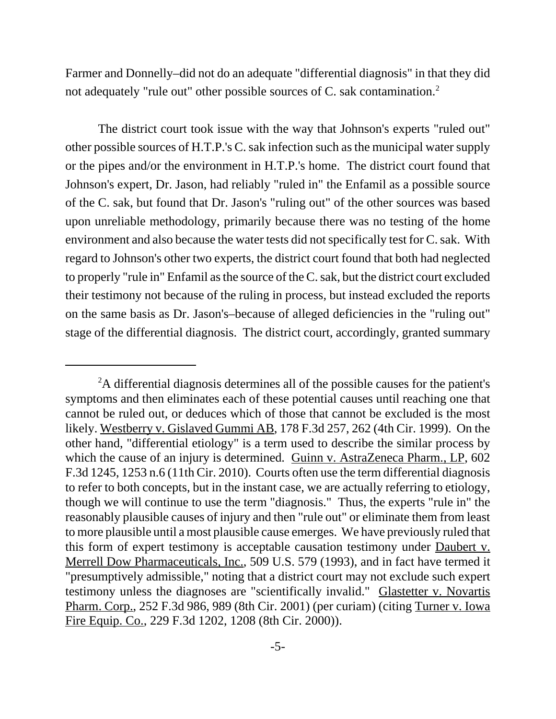Farmer and Donnelly–did not do an adequate "differential diagnosis" in that they did not adequately "rule out" other possible sources of C. sak contamination.2

The district court took issue with the way that Johnson's experts "ruled out" other possible sources of H.T.P.'s C. sak infection such as the municipal water supply or the pipes and/or the environment in H.T.P.'s home. The district court found that Johnson's expert, Dr. Jason, had reliably "ruled in" the Enfamil as a possible source of the C. sak, but found that Dr. Jason's "ruling out" of the other sources was based upon unreliable methodology, primarily because there was no testing of the home environment and also because the water tests did not specifically test for C. sak. With regard to Johnson's other two experts, the district court found that both had neglected to properly "rule in" Enfamil as the source of the C. sak, but the district court excluded their testimony not because of the ruling in process, but instead excluded the reports on the same basis as Dr. Jason's–because of alleged deficiencies in the "ruling out" stage of the differential diagnosis. The district court, accordingly, granted summary

<sup>&</sup>lt;sup>2</sup>A differential diagnosis determines all of the possible causes for the patient's symptoms and then eliminates each of these potential causes until reaching one that cannot be ruled out, or deduces which of those that cannot be excluded is the most likely. Westberry v. Gislaved Gummi AB, 178 F.3d 257, 262 (4th Cir. 1999). On the other hand, "differential etiology" is a term used to describe the similar process by which the cause of an injury is determined. Guinn v. AstraZeneca Pharm., LP, 602 F.3d 1245, 1253 n.6 (11th Cir. 2010). Courts often use the term differential diagnosis to refer to both concepts, but in the instant case, we are actually referring to etiology, though we will continue to use the term "diagnosis." Thus, the experts "rule in" the reasonably plausible causes of injury and then "rule out" or eliminate them from least to more plausible until a most plausible cause emerges. We have previously ruled that this form of expert testimony is acceptable causation testimony under Daubert v. Merrell Dow Pharmaceuticals, Inc., 509 U.S. 579 (1993), and in fact have termed it "presumptively admissible," noting that a district court may not exclude such expert testimony unless the diagnoses are "scientifically invalid." Glastetter v. Novartis Pharm. Corp., 252 F.3d 986, 989 (8th Cir. 2001) (per curiam) (citing Turner v. Iowa Fire Equip. Co., 229 F.3d 1202, 1208 (8th Cir. 2000)).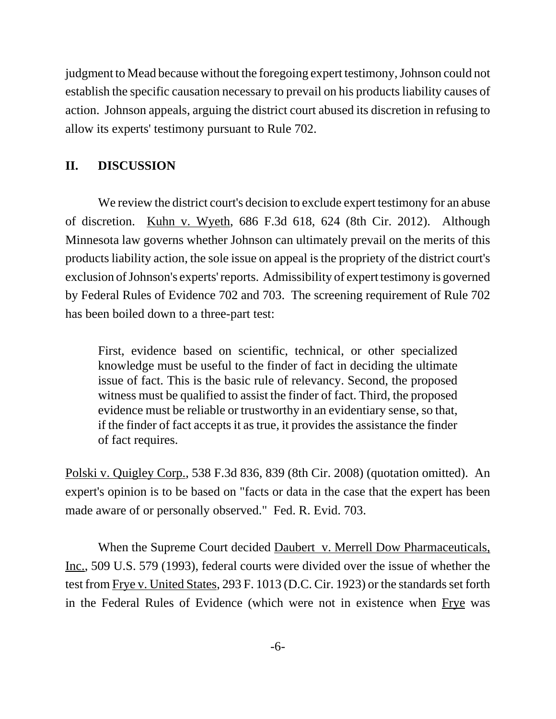judgment to Mead because without the foregoing expert testimony, Johnson could not establish the specific causation necessary to prevail on his products liability causes of action. Johnson appeals, arguing the district court abused its discretion in refusing to allow its experts' testimony pursuant to Rule 702.

## **II. DISCUSSION**

We review the district court's decision to exclude expert testimony for an abuse of discretion. Kuhn v. Wyeth, 686 F.3d 618, 624 (8th Cir. 2012). Although Minnesota law governs whether Johnson can ultimately prevail on the merits of this products liability action, the sole issue on appeal is the propriety of the district court's exclusion of Johnson's experts' reports. Admissibility of expert testimony is governed by Federal Rules of Evidence 702 and 703. The screening requirement of Rule 702 has been boiled down to a three-part test:

First, evidence based on scientific, technical, or other specialized knowledge must be useful to the finder of fact in deciding the ultimate issue of fact. This is the basic rule of relevancy. Second, the proposed witness must be qualified to assist the finder of fact. Third, the proposed evidence must be reliable or trustworthy in an evidentiary sense, so that, if the finder of fact accepts it as true, it provides the assistance the finder of fact requires.

Polski v. Quigley Corp., 538 F.3d 836, 839 (8th Cir. 2008) (quotation omitted). An expert's opinion is to be based on "facts or data in the case that the expert has been made aware of or personally observed." Fed. R. Evid. 703.

When the Supreme Court decided Daubert v. Merrell Dow Pharmaceuticals, Inc., 509 U.S. 579 (1993), federal courts were divided over the issue of whether the test from Frye v. United States, 293 F. 1013 (D.C. Cir. 1923) or the standards set forth in the Federal Rules of Evidence (which were not in existence when Frye was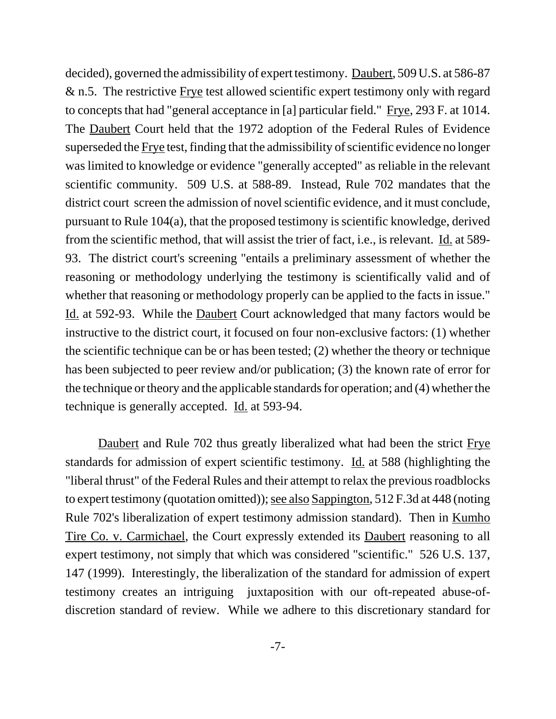decided), governed the admissibility of expert testimony. Daubert, 509 U.S. at 586-87 & n.5. The restrictive Frye test allowed scientific expert testimony only with regard to concepts that had "general acceptance in [a] particular field." Frye, 293 F. at 1014. The Daubert Court held that the 1972 adoption of the Federal Rules of Evidence superseded the Frye test, finding that the admissibility of scientific evidence no longer was limited to knowledge or evidence "generally accepted" as reliable in the relevant scientific community. 509 U.S. at 588-89. Instead, Rule 702 mandates that the district court screen the admission of novel scientific evidence, and it must conclude, pursuant to Rule 104(a), that the proposed testimony is scientific knowledge, derived from the scientific method, that will assist the trier of fact, i.e., is relevant. Id. at 589- 93. The district court's screening "entails a preliminary assessment of whether the reasoning or methodology underlying the testimony is scientifically valid and of whether that reasoning or methodology properly can be applied to the facts in issue." Id. at 592-93. While the Daubert Court acknowledged that many factors would be instructive to the district court, it focused on four non-exclusive factors: (1) whether the scientific technique can be or has been tested; (2) whether the theory or technique has been subjected to peer review and/or publication; (3) the known rate of error for the technique or theory and the applicable standards for operation; and (4) whether the technique is generally accepted. Id. at 593-94.

Daubert and Rule 702 thus greatly liberalized what had been the strict Frye standards for admission of expert scientific testimony. Id. at 588 (highlighting the "liberal thrust" of the Federal Rules and their attempt to relax the previous roadblocks to expert testimony (quotation omitted)); see also Sappington, 512 F.3d at 448 (noting Rule 702's liberalization of expert testimony admission standard). Then in Kumho Tire Co. v. Carmichael, the Court expressly extended its **Daubert** reasoning to all expert testimony, not simply that which was considered "scientific." 526 U.S. 137, 147 (1999). Interestingly, the liberalization of the standard for admission of expert testimony creates an intriguing juxtaposition with our oft-repeated abuse-ofdiscretion standard of review. While we adhere to this discretionary standard for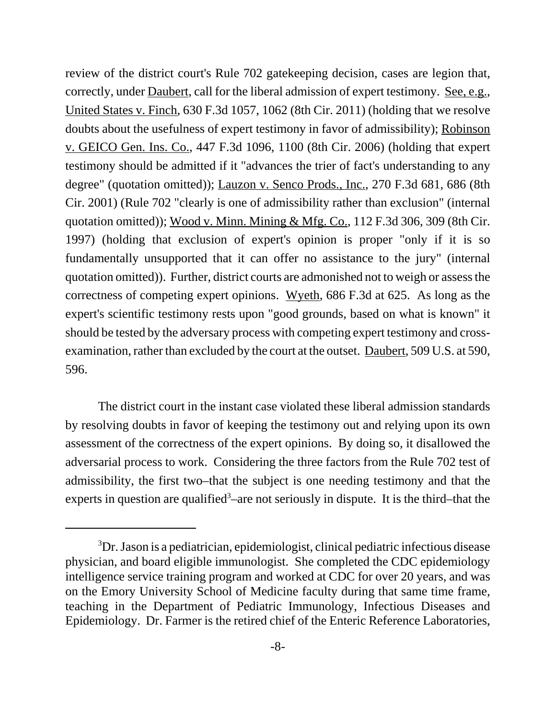review of the district court's Rule 702 gatekeeping decision, cases are legion that, correctly, under Daubert, call for the liberal admission of expert testimony. See, e.g., United States v. Finch, 630 F.3d 1057, 1062 (8th Cir. 2011) (holding that we resolve doubts about the usefulness of expert testimony in favor of admissibility); Robinson v. GEICO Gen. Ins. Co., 447 F.3d 1096, 1100 (8th Cir. 2006) (holding that expert testimony should be admitted if it "advances the trier of fact's understanding to any degree" (quotation omitted)); Lauzon v. Senco Prods., Inc., 270 F.3d 681, 686 (8th Cir. 2001) (Rule 702 "clearly is one of admissibility rather than exclusion" (internal quotation omitted)); Wood v. Minn. Mining & Mfg. Co., 112 F.3d 306, 309 (8th Cir. 1997) (holding that exclusion of expert's opinion is proper "only if it is so fundamentally unsupported that it can offer no assistance to the jury" (internal quotation omitted)). Further, district courts are admonished not to weigh or assess the correctness of competing expert opinions. Wyeth, 686 F.3d at 625. As long as the expert's scientific testimony rests upon "good grounds, based on what is known" it should be tested by the adversary process with competing expert testimony and crossexamination, rather than excluded by the court at the outset. Daubert, 509 U.S. at 590, 596.

The district court in the instant case violated these liberal admission standards by resolving doubts in favor of keeping the testimony out and relying upon its own assessment of the correctness of the expert opinions. By doing so, it disallowed the adversarial process to work. Considering the three factors from the Rule 702 test of admissibility, the first two–that the subject is one needing testimony and that the experts in question are qualified<sup>3</sup>-are not seriously in dispute. It is the third-that the

<sup>&</sup>lt;sup>3</sup>Dr. Jason is a pediatrician, epidemiologist, clinical pediatric infectious disease physician, and board eligible immunologist. She completed the CDC epidemiology intelligence service training program and worked at CDC for over 20 years, and was on the Emory University School of Medicine faculty during that same time frame, teaching in the Department of Pediatric Immunology, Infectious Diseases and Epidemiology. Dr. Farmer is the retired chief of the Enteric Reference Laboratories,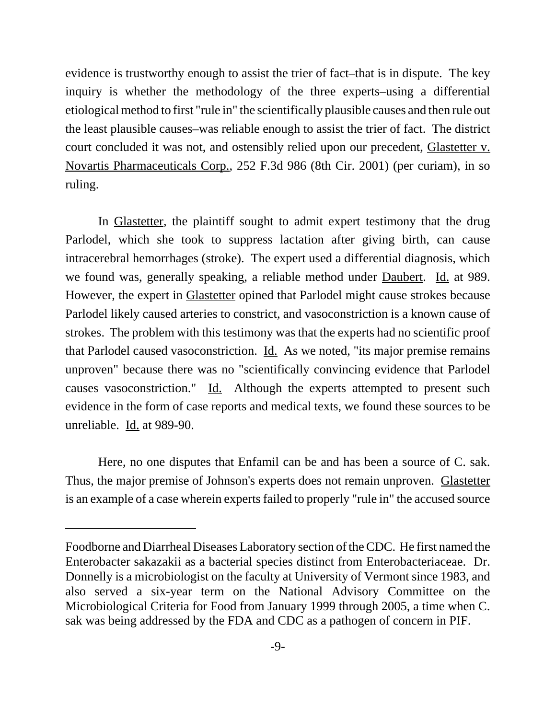evidence is trustworthy enough to assist the trier of fact–that is in dispute. The key inquiry is whether the methodology of the three experts–using a differential etiological method to first "rule in" the scientifically plausible causes and then rule out the least plausible causes–was reliable enough to assist the trier of fact. The district court concluded it was not, and ostensibly relied upon our precedent, Glastetter v. Novartis Pharmaceuticals Corp., 252 F.3d 986 (8th Cir. 2001) (per curiam), in so ruling.

In Glastetter, the plaintiff sought to admit expert testimony that the drug Parlodel, which she took to suppress lactation after giving birth, can cause intracerebral hemorrhages (stroke). The expert used a differential diagnosis, which we found was, generally speaking, a reliable method under Daubert. Id. at 989. However, the expert in Glastetter opined that Parlodel might cause strokes because Parlodel likely caused arteries to constrict, and vasoconstriction is a known cause of strokes. The problem with this testimony was that the experts had no scientific proof that Parlodel caused vasoconstriction. Id. As we noted, "its major premise remains unproven" because there was no "scientifically convincing evidence that Parlodel causes vasoconstriction." Id. Although the experts attempted to present such evidence in the form of case reports and medical texts, we found these sources to be unreliable. Id. at 989-90.

Here, no one disputes that Enfamil can be and has been a source of C. sak. Thus, the major premise of Johnson's experts does not remain unproven. Glastetter is an example of a case wherein experts failed to properly "rule in" the accused source

Foodborne and Diarrheal Diseases Laboratory section of the CDC. He first named the Enterobacter sakazakii as a bacterial species distinct from Enterobacteriaceae. Dr. Donnelly is a microbiologist on the faculty at University of Vermont since 1983, and also served a six-year term on the National Advisory Committee on the Microbiological Criteria for Food from January 1999 through 2005, a time when C. sak was being addressed by the FDA and CDC as a pathogen of concern in PIF.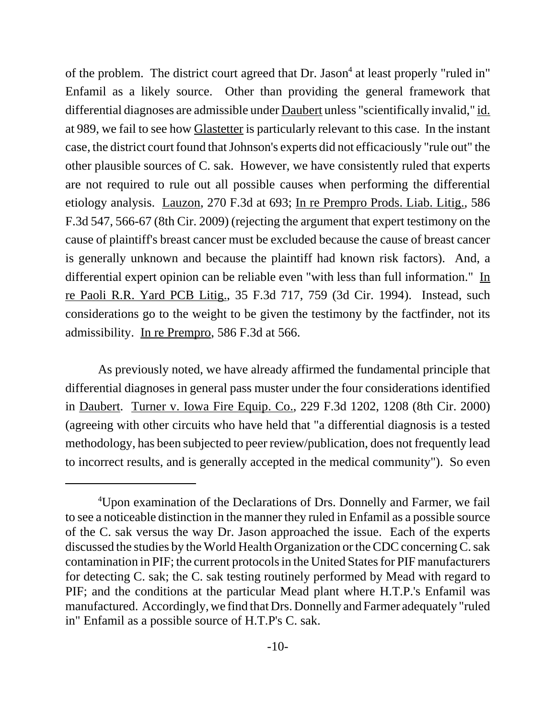of the problem. The district court agreed that Dr. Jason<sup>4</sup> at least properly "ruled in" Enfamil as a likely source. Other than providing the general framework that differential diagnoses are admissible under Daubert unless "scientifically invalid," id. at 989, we fail to see how Glastetter is particularly relevant to this case. In the instant case, the district court found that Johnson's experts did not efficaciously "rule out" the other plausible sources of C. sak. However, we have consistently ruled that experts are not required to rule out all possible causes when performing the differential etiology analysis. Lauzon, 270 F.3d at 693; In re Prempro Prods. Liab. Litig., 586 F.3d 547, 566-67 (8th Cir. 2009) (rejecting the argument that expert testimony on the cause of plaintiff's breast cancer must be excluded because the cause of breast cancer is generally unknown and because the plaintiff had known risk factors). And, a differential expert opinion can be reliable even "with less than full information." In re Paoli R.R. Yard PCB Litig., 35 F.3d 717, 759 (3d Cir. 1994). Instead, such considerations go to the weight to be given the testimony by the factfinder, not its admissibility. In re Prempro, 586 F.3d at 566.

As previously noted, we have already affirmed the fundamental principle that differential diagnoses in general pass muster under the four considerations identified in Daubert. Turner v. Iowa Fire Equip. Co., 229 F.3d 1202, 1208 (8th Cir. 2000) (agreeing with other circuits who have held that "a differential diagnosis is a tested methodology, has been subjected to peer review/publication, does not frequently lead to incorrect results, and is generally accepted in the medical community"). So even

<sup>&</sup>lt;sup>4</sup>Upon examination of the Declarations of Drs. Donnelly and Farmer, we fail to see a noticeable distinction in the manner they ruled in Enfamil as a possible source of the C. sak versus the way Dr. Jason approached the issue. Each of the experts discussed the studies by the World Health Organization or the CDC concerning C. sak contamination in PIF; the current protocols in the United States for PIF manufacturers for detecting C. sak; the C. sak testing routinely performed by Mead with regard to PIF; and the conditions at the particular Mead plant where H.T.P.'s Enfamil was manufactured. Accordingly, we find that Drs. Donnelly and Farmer adequately "ruled in" Enfamil as a possible source of H.T.P's C. sak.